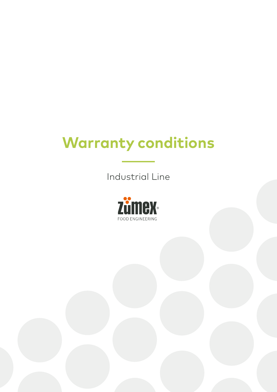## **Warranty conditions**

Industrial Line

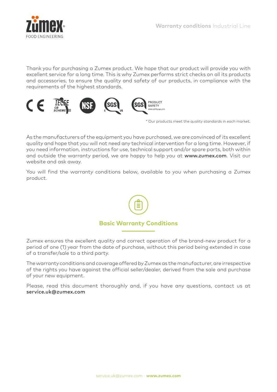

Thank you for purchasing a Zumex product. We hope that our product will provide you with excellent service for a long time. This is why Zumex performs strict checks on all its products and accessories, to ensure the quality and safety of our products, in compliance with the requirements of the highest standards.



\* Our products meet the quality standards in each market.

As the manufacturers of the equipment you have purchased, we are convinced of its excellent quality and hope that you will not need any technical intervention for a long time. However, if you need information, instructions for use, technical support and/or spare parts, both within and outside the warranty period, we are happy to help you at www.zumex.com. Visit our website and ask away.

You will find the warranty conditions below, available to you when purchasing a Zumex product.



Zumex ensures the excellent quality and correct operation of the brand-new product for a period of one (1) year from the date of purchase, without this period being extended in case of a transfer/sale to a third party.

The warranty conditions and coverage offered by Zumex as the manufacturer, are irrespective of the rights you have against the official seller/dealer, derived from the sale and purchase of your new equipment.

Please, read this document thoroughly and, if you have any questions, contact us at service.uk@zumex.com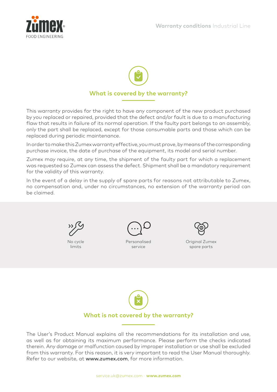



This warranty provides for the right to have any component of the new product purchased by you replaced or repaired, provided that the defect and/or fault is due to a manufacturing flaw that results in failure of its normal operation. If the faulty part belongs to an assembly, only the part shall be replaced, except for those consumable parts and those which can be replaced during periodic maintenance.

In order to make this Zumex warranty effective, you must prove, by means of the corresponding purchase invoice, the date of purchase of the equipment, its model and serial number.

Zumex may require, at any time, the shipment of the faulty part for which a replacement was requested so Zumex can assess the defect. Shipment shall be a mandatory requirement for the validity of this warranty.

In the event of a delay in the supply of spare parts for reasons not attributable to Zumex, no compensation and, under no circumstances, no extension of the warranty period can be claimed.



No cycle limits



Personalised service



Original Zumex spare parts



The User's Product Manual explains all the recommendations for its installation and use, as well as for obtaining its maximum performance. Please perform the checks indicated therein. Any damage or malfunction caused by improper installation or use shall be excluded from this warranty. For this reason, it is very important to read the User Manual thoroughly. Refer to our website, at www.zumex.com, for more information.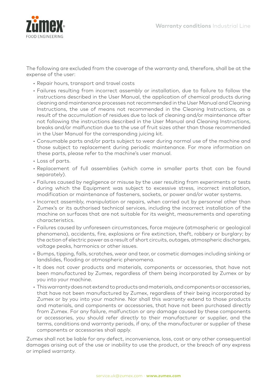

The following are excluded from the coverage of the warranty and, therefore, shall be at the expense of the user:

- Repair hours, transport and travel costs
- Failures resulting from incorrect assembly or installation, due to failure to follow the instructions described in the User Manual, the application of chemical products during cleaning and maintenance processes not recommended in the User Manual and Cleaning Instructions, the use of means not recommended in the Cleaning Instructions, as a result of the accumulation of residues due to lack of cleaning and/or maintenance after not following the instructions described in the User Manual and Cleaning Instructions, breaks and/or malfunction due to the use of fruit sizes other than those recommended in the User Manual for the corresponding juicing kit.
- Consumable parts and/or parts subject to wear during normal use of the machine and those subject to replacement during periodic maintenance. For more information on these parts, please refer to the machine's user manual.
- Loss of parts.
- Replacement of full assemblies (which come in smaller parts that can be found separately).
- Failures caused by negligence or misuse by the user resulting from experiments or tests during which the Equipment was subject to excessive stress, incorrect installation, modification or maintenance of fasteners, sockets, or power and/or water systems.
- Incorrect assembly, manipulation or repairs, when carried out by personnel other than Zumex's or its authorised technical services, including the incorrect installation of the machine on surfaces that are not suitable for its weight, measurements and operating characteristics.
- Failures caused by unforeseen circumstances, force majeure (atmospheric or geological phenomena), accidents, fire, explosions or fire extinction, theft, robbery or burglary; by the action of electric power as a result of short circuits, outages, atmospheric discharges, voltage peaks, harmonics or other issues.
- Bumps, tipping, falls, scratches, wear and tear, or cosmetic damages including sinking or landslides, flooding or atmospheric phenomena.
- It does not cover products and materials, components or accessories, that have not been manufactured by Zumex, regardless of them being incorporated by Zumex or by you into your machine.
- This warranty does not extend to products and materials, and components or accessories, that have not been manufactured by Zumex, regardless of their being incorporated by Zumex or by you into your machine. Nor shall this warranty extend to those products and materials, and components or accessories, that have not been purchased directly from Zumex. For any failure, malfunction or any damage caused by these components or accessories, you should refer directly to their manufacturer or supplier, and the terms, conditions and warranty periods, if any, of the manufacturer or supplier of these components or accessories shall apply.

Zumex shall not be liable for any defect, inconvenience, loss, cost or any other consequential damages arising out of the use or inability to use the product, or the breach of any express or implied warranty.